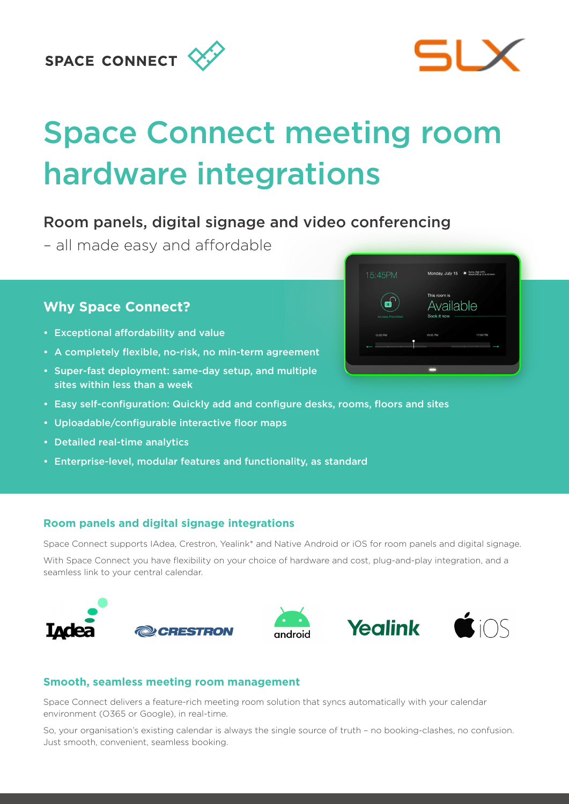## **SPACE CONNECT**



# Space Connect meeting room hardware integrations

## Room panels, digital signage and video conferencing

– all made easy and affordable

### **Why Space Connect?**

- Exceptional affordability and value
- A completely flexible, no-risk, no min-term agreement
- Super-fast deployment: same-day setup, and multiple sites within less than a week
- Easy self-configuration: Quickly add and configure desks, rooms, floors and sites
- Uploadable/configurable interactive floor maps
- Detailed real-time analytics
- Enterprise-level, modular features and functionality, as standard



Space Connect supports IAdea, Crestron, Yealink\* and Native Android or iOS for room panels and digital signage.

With Space Connect you have flexibility on your choice of hardware and cost, plug-and-play integration, and a seamless link to your central calendar.



#### **Smooth, seamless meeting room management**

Space Connect delivers a feature-rich meeting room solution that syncs automatically with your calendar environment (O365 or Google), in real-time.

So, your organisation's existing calendar is always the single source of truth – no booking-clashes, no confusion. Just smooth, convenient, seamless booking.